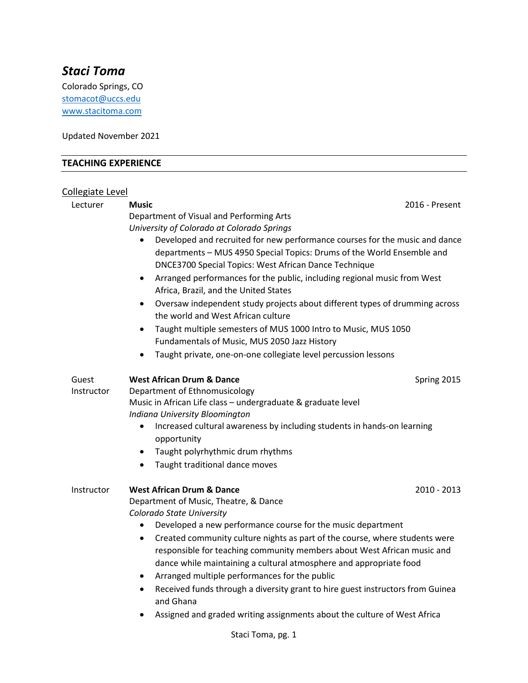# *Staci Toma*

Colorado Springs, CO stomacot@uccs.edu [www.stacitoma.com](http://www.stacitoma.com/)

Updated November 2021

# **TEACHING EXPERIENCE**

# Collegiate Level

| Lecturer   | <b>Music</b>                                                                                | 2016 - Present |  |
|------------|---------------------------------------------------------------------------------------------|----------------|--|
|            | Department of Visual and Performing Arts                                                    |                |  |
|            | University of Colorado at Colorado Springs                                                  |                |  |
|            | Developed and recruited for new performance courses for the music and dance                 |                |  |
|            | departments - MUS 4950 Special Topics: Drums of the World Ensemble and                      |                |  |
|            | DNCE3700 Special Topics: West African Dance Technique                                       |                |  |
|            | Arranged performances for the public, including regional music from West<br>$\bullet$       |                |  |
|            | Africa, Brazil, and the United States                                                       |                |  |
|            | Oversaw independent study projects about different types of drumming across<br>$\bullet$    |                |  |
|            | the world and West African culture                                                          |                |  |
|            | Taught multiple semesters of MUS 1000 Intro to Music, MUS 1050                              |                |  |
|            | Fundamentals of Music, MUS 2050 Jazz History                                                |                |  |
|            | Taught private, one-on-one collegiate level percussion lessons<br>$\bullet$                 |                |  |
|            |                                                                                             |                |  |
| Guest      | <b>West African Drum &amp; Dance</b>                                                        | Spring 2015    |  |
| Instructor | Department of Ethnomusicology                                                               |                |  |
|            | Music in African Life class - undergraduate & graduate level                                |                |  |
|            | Indiana University Bloomington                                                              |                |  |
|            | Increased cultural awareness by including students in hands-on learning<br>$\bullet$        |                |  |
|            | opportunity                                                                                 |                |  |
|            | Taught polyrhythmic drum rhythms<br>$\bullet$                                               |                |  |
|            | Taught traditional dance moves<br>$\bullet$                                                 |                |  |
|            |                                                                                             |                |  |
| Instructor | <b>West African Drum &amp; Dance</b>                                                        | 2010 - 2013    |  |
|            | Department of Music, Theatre, & Dance                                                       |                |  |
|            | Colorado State University                                                                   |                |  |
|            | Developed a new performance course for the music department<br>$\bullet$                    |                |  |
|            | Created community culture nights as part of the course, where students were<br>$\bullet$    |                |  |
|            | responsible for teaching community members about West African music and                     |                |  |
|            | dance while maintaining a cultural atmosphere and appropriate food                          |                |  |
|            | Arranged multiple performances for the public<br>$\bullet$                                  |                |  |
|            | Received funds through a diversity grant to hire guest instructors from Guinea<br>$\bullet$ |                |  |
|            | and Ghana                                                                                   |                |  |
|            | Assigned and graded writing assignments about the culture of West Africa                    |                |  |
|            |                                                                                             |                |  |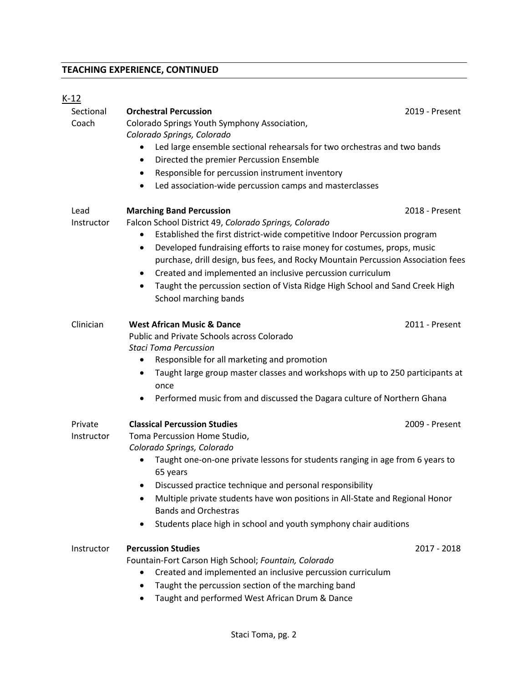# **TEACHING EXPERIENCE, CONTINUED**

# $K-12$

| Sectional<br>Coach    | <b>Orchestral Percussion</b><br>Colorado Springs Youth Symphony Association,<br>Colorado Springs, Colorado<br>Led large ensemble sectional rehearsals for two orchestras and two bands<br>Directed the premier Percussion Ensemble<br>٠<br>Responsible for percussion instrument inventory<br>$\bullet$<br>Led association-wide percussion camps and masterclasses<br>$\bullet$                                                                                                                                                    | 2019 - Present |
|-----------------------|------------------------------------------------------------------------------------------------------------------------------------------------------------------------------------------------------------------------------------------------------------------------------------------------------------------------------------------------------------------------------------------------------------------------------------------------------------------------------------------------------------------------------------|----------------|
| Lead<br>Instructor    | <b>Marching Band Percussion</b><br>Falcon School District 49, Colorado Springs, Colorado<br>Established the first district-wide competitive Indoor Percussion program<br>Developed fundraising efforts to raise money for costumes, props, music<br>$\bullet$<br>purchase, drill design, bus fees, and Rocky Mountain Percussion Association fees<br>Created and implemented an inclusive percussion curriculum<br>٠<br>Taught the percussion section of Vista Ridge High School and Sand Creek High<br>٠<br>School marching bands | 2018 - Present |
| Clinician             | <b>West African Music &amp; Dance</b><br>Public and Private Schools across Colorado<br><b>Staci Toma Percussion</b><br>Responsible for all marketing and promotion<br>Taught large group master classes and workshops with up to 250 participants at<br>٠<br>once<br>Performed music from and discussed the Dagara culture of Northern Ghana<br>$\bullet$                                                                                                                                                                          | 2011 - Present |
| Private<br>Instructor | <b>Classical Percussion Studies</b><br>Toma Percussion Home Studio,<br>Colorado Springs, Colorado<br>Taught one-on-one private lessons for students ranging in age from 6 years to<br>65 years<br>Discussed practice technique and personal responsibility<br>Multiple private students have won positions in All-State and Regional Honor<br><b>Bands and Orchestras</b><br>Students place high in school and youth symphony chair auditions                                                                                      | 2009 - Present |
| Instructor            | <b>Percussion Studies</b><br>Fountain-Fort Carson High School; Fountain, Colorado<br>Created and implemented an inclusive percussion curriculum<br>Taught the percussion section of the marching band<br>$\bullet$<br>Taught and performed West African Drum & Dance                                                                                                                                                                                                                                                               | 2017 - 2018    |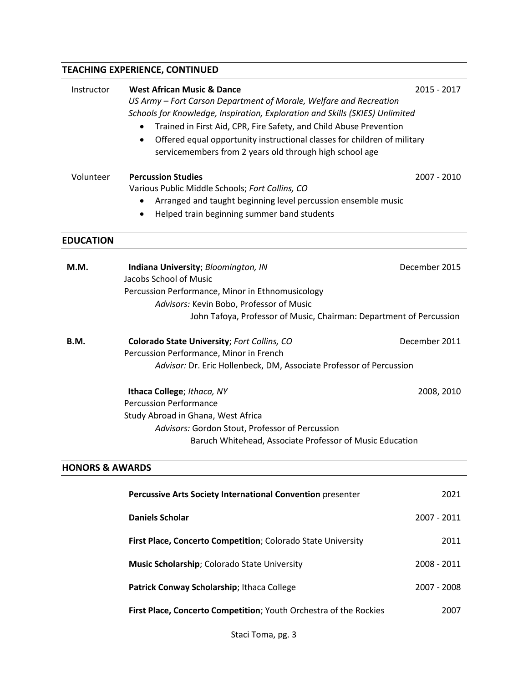# **TEACHING EXPERIENCE, CONTINUED**

| Instructor                 | <b>West African Music &amp; Dance</b>                                                 | 2015 - 2017   |
|----------------------------|---------------------------------------------------------------------------------------|---------------|
|                            | US Army - Fort Carson Department of Morale, Welfare and Recreation                    |               |
|                            | Schools for Knowledge, Inspiration, Exploration and Skills (SKIES) Unlimited          |               |
|                            | Trained in First Aid, CPR, Fire Safety, and Child Abuse Prevention<br>$\bullet$       |               |
|                            | Offered equal opportunity instructional classes for children of military<br>$\bullet$ |               |
|                            | servicemembers from 2 years old through high school age                               |               |
| Volunteer                  | <b>Percussion Studies</b>                                                             | 2007 - 2010   |
|                            | Various Public Middle Schools; Fort Collins, CO                                       |               |
|                            | Arranged and taught beginning level percussion ensemble music                         |               |
|                            | Helped train beginning summer band students                                           |               |
|                            |                                                                                       |               |
| <b>EDUCATION</b>           |                                                                                       |               |
| M.M.                       | Indiana University; Bloomington, IN                                                   | December 2015 |
|                            | Jacobs School of Music                                                                |               |
|                            | Percussion Performance, Minor in Ethnomusicology                                      |               |
|                            | Advisors: Kevin Bobo, Professor of Music                                              |               |
|                            | John Tafoya, Professor of Music, Chairman: Department of Percussion                   |               |
| B.M.                       | Colorado State University; Fort Collins, CO                                           | December 2011 |
|                            | Percussion Performance, Minor in French                                               |               |
|                            | Advisor: Dr. Eric Hollenbeck, DM, Associate Professor of Percussion                   |               |
|                            | Ithaca College; Ithaca, NY                                                            | 2008, 2010    |
|                            | <b>Percussion Performance</b>                                                         |               |
|                            | Study Abroad in Ghana, West Africa                                                    |               |
|                            | Advisors: Gordon Stout, Professor of Percussion                                       |               |
|                            | Baruch Whitehead, Associate Professor of Music Education                              |               |
| <b>HONORS &amp; AWARDS</b> |                                                                                       |               |
|                            | Percussive Arts Society International Convention presenter                            | 2021          |
|                            | <b>Daniels Scholar</b>                                                                | 2007 - 2011   |

| First Place, Concerto Competition; Colorado State University      | 2011        |
|-------------------------------------------------------------------|-------------|
| Music Scholarship; Colorado State University                      | 2008 - 2011 |
| Patrick Conway Scholarship; Ithaca College                        | 2007 - 2008 |
| First Place, Concerto Competition; Youth Orchestra of the Rockies | 2007        |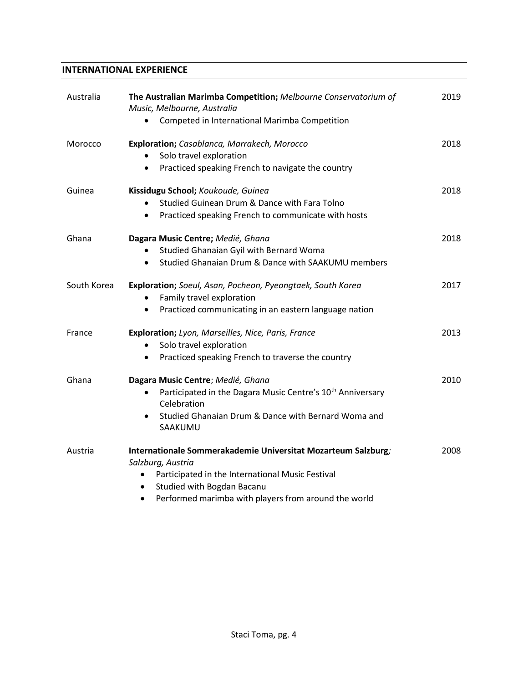## **INTERNATIONAL EXPERIENCE**

| Australia   | The Australian Marimba Competition; Melbourne Conservatorium of<br>Music, Melbourne, Australia<br>Competed in International Marimba Competition<br>$\bullet$                                                                                                        | 2019 |
|-------------|---------------------------------------------------------------------------------------------------------------------------------------------------------------------------------------------------------------------------------------------------------------------|------|
| Morocco     | Exploration; Casablanca, Marrakech, Morocco<br>Solo travel exploration<br>Practiced speaking French to navigate the country                                                                                                                                         | 2018 |
| Guinea      | Kissidugu School; Koukoude, Guinea<br>Studied Guinean Drum & Dance with Fara Tolno<br>Practiced speaking French to communicate with hosts<br>$\bullet$                                                                                                              | 2018 |
| Ghana       | Dagara Music Centre; Medié, Ghana<br>Studied Ghanaian Gyil with Bernard Woma<br>$\bullet$<br>Studied Ghanaian Drum & Dance with SAAKUMU members<br>$\bullet$                                                                                                        | 2018 |
| South Korea | Exploration; Soeul, Asan, Pocheon, Pyeongtaek, South Korea<br>Family travel exploration<br>Practiced communicating in an eastern language nation<br>٠                                                                                                               | 2017 |
| France      | Exploration; Lyon, Marseilles, Nice, Paris, France<br>Solo travel exploration<br>Practiced speaking French to traverse the country<br>$\bullet$                                                                                                                     | 2013 |
| Ghana       | Dagara Music Centre; Medié, Ghana<br>Participated in the Dagara Music Centre's 10 <sup>th</sup> Anniversary<br>Celebration<br>Studied Ghanaian Drum & Dance with Bernard Woma and<br>SAAKUMU                                                                        | 2010 |
| Austria     | Internationale Sommerakademie Universitat Mozarteum Salzburg;<br>Salzburg, Austria<br>Participated in the International Music Festival<br>$\bullet$<br>Studied with Bogdan Bacanu<br>$\bullet$<br>Performed marimba with players from around the world<br>$\bullet$ | 2008 |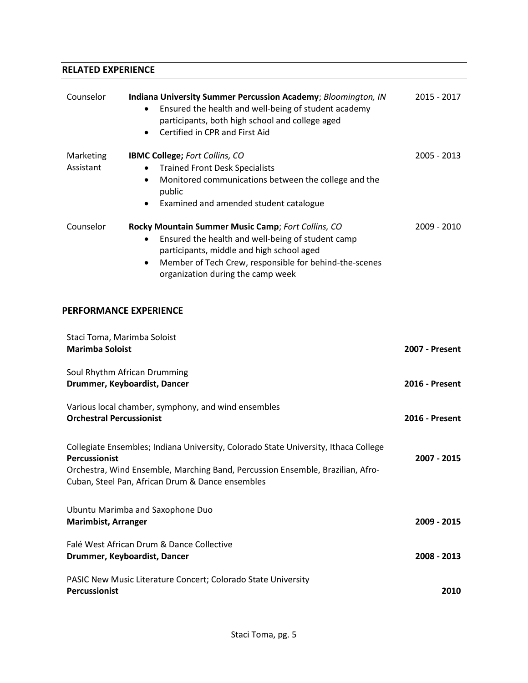## **RELATED EXPERIENCE**

| Counselor              | Indiana University Summer Percussion Academy; Bloomington, IN<br>Ensured the health and well-being of student academy<br>$\bullet$<br>participants, both high school and college aged<br>Certified in CPR and First Aid<br>$\bullet$                             | 2015 - 2017 |
|------------------------|------------------------------------------------------------------------------------------------------------------------------------------------------------------------------------------------------------------------------------------------------------------|-------------|
| Marketing<br>Assistant | <b>IBMC College; Fort Collins, CO</b><br><b>Trained Front Desk Specialists</b><br>$\bullet$<br>Monitored communications between the college and the<br>$\bullet$<br>public<br>Examined and amended student catalogue<br>$\bullet$                                | 2005 - 2013 |
| Counselor              | Rocky Mountain Summer Music Camp; Fort Collins, CO<br>Ensured the health and well-being of student camp<br>participants, middle and high school aged<br>Member of Tech Crew, responsible for behind-the-scenes<br>$\bullet$<br>organization during the camp week | 2009 - 2010 |

## **PERFORMANCE EXPERIENCE**

| Staci Toma, Marimba Soloist<br><b>Marimba Soloist</b>                                                                                                                                                                                             | <b>2007 - Present</b> |
|---------------------------------------------------------------------------------------------------------------------------------------------------------------------------------------------------------------------------------------------------|-----------------------|
| Soul Rhythm African Drumming<br>Drummer, Keyboardist, Dancer                                                                                                                                                                                      | <b>2016 - Present</b> |
| Various local chamber, symphony, and wind ensembles<br><b>Orchestral Percussionist</b>                                                                                                                                                            | <b>2016 - Present</b> |
| Collegiate Ensembles; Indiana University, Colorado State University, Ithaca College<br><b>Percussionist</b><br>Orchestra, Wind Ensemble, Marching Band, Percussion Ensemble, Brazilian, Afro-<br>Cuban, Steel Pan, African Drum & Dance ensembles | 2007 - 2015           |
| Ubuntu Marimba and Saxophone Duo<br><b>Marimbist, Arranger</b>                                                                                                                                                                                    | 2009 - 2015           |
| Falé West African Drum & Dance Collective<br>Drummer, Keyboardist, Dancer                                                                                                                                                                         | 2008 - 2013           |
| PASIC New Music Literature Concert; Colorado State University<br><b>Percussionist</b>                                                                                                                                                             | 2010                  |